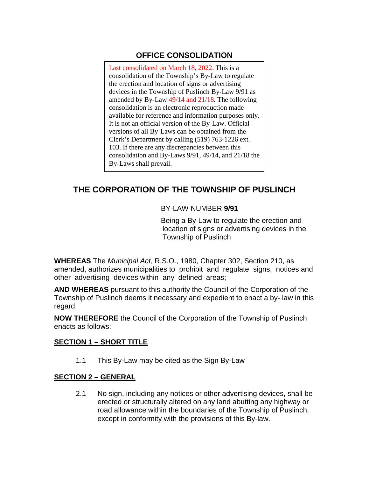# **OFFICE CONSOLIDATION**

Last consolidated on March 18, 2022. This is a consolidation of the Township's By-Law to regulate the erection and location of signs or advertising devices in the Township of Puslinch By-Law 9/91 as amended by By-Law 49/14 and 21/18. The following consolidation is an electronic reproduction made available for reference and information purposes only. It is not an official version of the By-Law. Official versions of all By-Laws can be obtained from the Clerk's Department by calling (519) 763-1226 ext. 103. If there are any discrepancies between this consolidation and By-Laws 9/91, 49/14, and 21/18 the By-Laws shall prevail.

# **THE CORPORATION OF THE TOWNSHIP OF PUSLINCH**

#### BY-LAW NUMBER **9/91**

Being a By-Law to regulate the erection and location of signs or advertising devices in the Township of Puslinch

**WHEREAS** The *Municipal Act*, R.S.O., 1980, Chapter 302, Section 210, as amended, authorizes municipalities to prohibit and regulate signs, notices and other advertising devices within any defined areas;

**AND WHEREAS** pursuant to this authority the Council of the Corporation of the Township of Puslinch deems it necessary and expedient to enact a by- law in this regard.

**NOW THEREFORE** the Council of the Corporation of the Township of Puslinch enacts as follows:

#### **SECTION 1 – SHORT TITLE**

1.1 This By-Law may be cited as the Sign By-Law

#### **SECTION 2 – GENERAL**

2.1 No sign, including any notices or other advertising devices, shall be erected or structurally altered on any land abutting any highway or road allowance within the boundaries of the Township of Puslinch, except in conformity with the provisions of this By-law.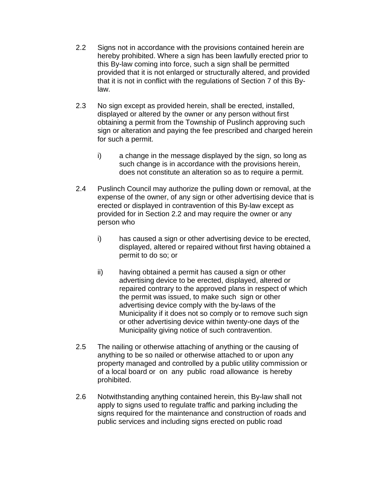- 2.2 Signs not in accordance with the provisions contained herein are hereby prohibited. Where a sign has been lawfully erected prior to this By-law coming into force, such a sign shall be permitted provided that it is not enlarged or structurally altered, and provided that it is not in conflict with the regulations of Section 7 of this Bylaw.
- 2.3 No sign except as provided herein, shall be erected, installed, displayed or altered by the owner or any person without first obtaining a permit from the Township of Puslinch approving such sign or alteration and paying the fee prescribed and charged herein for such a permit.
	- i) a change in the message displayed by the sign, so long as such change is in accordance with the provisions herein, does not constitute an alteration so as to require a permit.
- 2.4 Puslinch Council may authorize the pulling down or removal, at the expense of the owner, of any sign or other advertising device that is erected or displayed in contravention of this By-law except as provided for in Section 2.2 and may require the owner or any person who
	- i) has caused a sign or other advertising device to be erected, displayed, altered or repaired without first having obtained a permit to do so; or
	- ii) having obtained a permit has caused a sign or other advertising device to be erected, displayed, altered or repaired contrary to the approved plans in respect of which the permit was issued, to make such sign or other advertising device comply with the by-laws of the Municipality if it does not so comply or to remove such sign or other advertising device within twenty-one days of the Municipality giving notice of such contravention.
- 2.5 The nailing or otherwise attaching of anything or the causing of anything to be so nailed or otherwise attached to or upon any property managed and controlled by a public utility commission or of a local board or on any public road allowance is hereby prohibited.
- 2.6 Notwithstanding anything contained herein, this By-law shall not apply to signs used to regulate traffic and parking including the signs required for the maintenance and construction of roads and public services and including signs erected on public road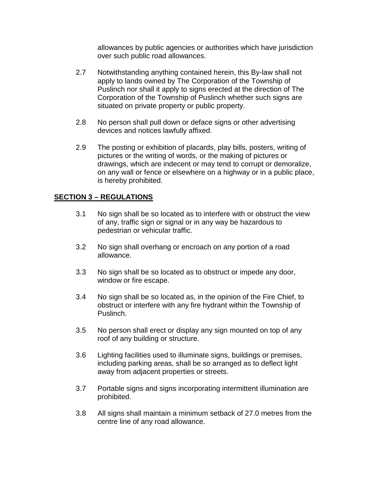allowances by public agencies or authorities which have jurisdiction over such public road allowances.

- 2.7 Notwithstanding anything contained herein, this By-law shall not apply to lands owned by The Corporation of the Township of Puslinch nor shall it apply to signs erected at the direction of The Corporation of the Township of Puslinch whether such signs are situated on private property or public property.
- 2.8 No person shall pull down or deface signs or other advertising devices and notices lawfully affixed.
- 2.9 The posting or exhibition of placards, play bills, posters, writing of pictures or the writing of words, or the making of pictures or drawings, which are indecent or may tend to corrupt or demoralize, on any wall or fence or elsewhere on a highway or in a public place, is hereby prohibited.

#### **SECTION 3 – REGULATIONS**

- 3.1 No sign shall be so located as to interfere with or obstruct the view of any, traffic sign or signal or in any way be hazardous to pedestrian or vehicular traffic.
- 3.2 No sign shall overhang or encroach on any portion of a road allowance.
- 3.3 No sign shall be so located as to obstruct or impede any door, window or fire escape.
- 3.4 No sign shall be so located as, in the opinion of the Fire Chief, to obstruct or interfere with any fire hydrant within the Township of Puslinch.
- 3.5 No person shall erect or display any sign mounted on top of any roof of any building or structure.
- 3.6 Lighting facilities used to illuminate signs, buildings or premises, including parking areas, shall be so arranged as to deflect light away from adjacent properties or streets.
- 3.7 Portable signs and signs incorporating intermittent illumination are prohibited.
- 3.8 All signs shall maintain a minimum setback of 27.0 metres from the centre line of any road allowance.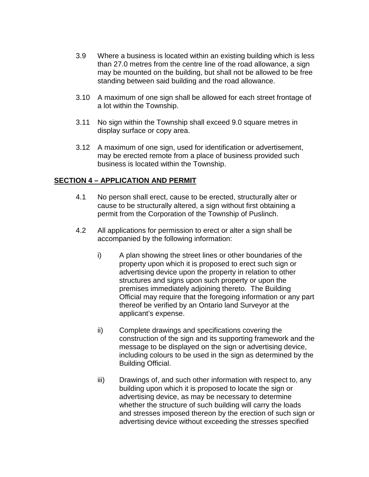- 3.9 Where a business is located within an existing building which is less than 27.0 metres from the centre line of the road allowance, a sign may be mounted on the building, but shall not be allowed to be free standing between said building and the road allowance.
- 3.10 A maximum of one sign shall be allowed for each street frontage of a lot within the Township.
- 3.11 No sign within the Township shall exceed 9.0 square metres in display surface or copy area.
- 3.12 A maximum of one sign, used for identification or advertisement, may be erected remote from a place of business provided such business is located within the Township.

## **SECTION 4 – APPLICATION AND PERMIT**

- 4.1 No person shall erect, cause to be erected, structurally alter or cause to be structurally altered, a sign without first obtaining a permit from the Corporation of the Township of Puslinch.
- 4.2 All applications for permission to erect or alter a sign shall be accompanied by the following information:
	- i) A plan showing the street lines or other boundaries of the property upon which it is proposed to erect such sign or advertising device upon the property in relation to other structures and signs upon such property or upon the premises immediately adjoining thereto. The Building Official may require that the foregoing information or any part thereof be verified by an Ontario land Surveyor at the applicant's expense.
	- ii) Complete drawings and specifications covering the construction of the sign and its supporting framework and the message to be displayed on the sign or advertising device, including colours to be used in the sign as determined by the Building Official.
	- iii) Drawings of, and such other information with respect to, any building upon which it is proposed to locate the sign or advertising device, as may be necessary to determine whether the structure of such building will carry the loads and stresses imposed thereon by the erection of such sign or advertising device without exceeding the stresses specified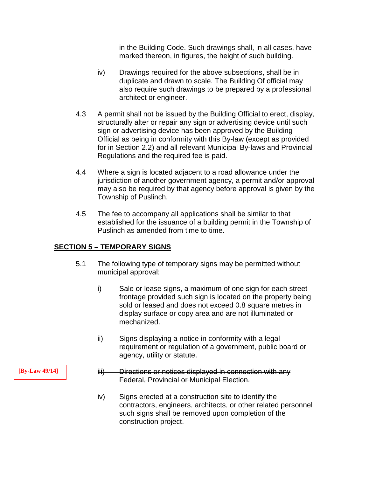in the Building Code. Such drawings shall, in all cases, have marked thereon, in figures, the height of such building.

- iv) Drawings required for the above subsections, shall be in duplicate and drawn to scale. The Building Of official may also require such drawings to be prepared by a professional architect or engineer.
- 4.3 A permit shall not be issued by the Building Official to erect, display, structurally alter or repair any sign or advertising device until such sign or advertising device has been approved by the Building Official as being in conformity with this By-law (except as provided for in Section 2.2) and all relevant Municipal By-laws and Provincial Regulations and the required fee is paid.
- 4.4 Where a sign is located adjacent to a road allowance under the jurisdiction of another government agency, a permit and/or approval may also be required by that agency before approval is given by the Township of Puslinch.
- 4.5 The fee to accompany all applications shall be similar to that established for the issuance of a building permit in the Township of Puslinch as amended from time to time.

## **SECTION 5 – TEMPORARY SIGNS**

- 5.1 The following type of temporary signs may be permitted without municipal approval:
	- i) Sale or lease signs, a maximum of one sign for each street frontage provided such sign is located on the property being sold or leased and does not exceed 0.8 square metres in display surface or copy area and are not illuminated or mechanized.
	- ii) Signs displaying a notice in conformity with a legal requirement or regulation of a government, public board or agency, utility or statute.
	- iii) Directions or notices displayed in connection with any Federal, Provincial or Municipal Election.
	- iv) Signs erected at a construction site to identify the contractors, engineers, architects, or other related personnel such signs shall be removed upon completion of the construction project.

**[By-Law 49/14]**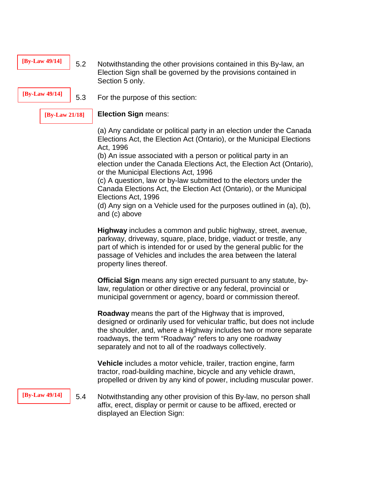| [By-Law 49/14] | 5.2 | Notwithstanding the other provisions contained in this By-law, an |
|----------------|-----|-------------------------------------------------------------------|
|                |     | Election Sign shall be governed by the provisions contained in    |
|                |     | Section 5 only.                                                   |

**[By-Law 49/14]** 5.3 For the purpose of this section:

**[By-Law 21/18]**

**Election Sign** means:

(a) Any candidate or political party in an election under the Canada Elections Act, the Election Act (Ontario), or the Municipal Elections Act, 1996

(b) An issue associated with a person or political party in an election under the Canada Elections Act, the Election Act (Ontario), or the Municipal Elections Act, 1996

(c) A question, law or by-law submitted to the electors under the Canada Elections Act, the Election Act (Ontario), or the Municipal Elections Act, 1996

(d) Any sign on a Vehicle used for the purposes outlined in (a), (b), and (c) above

**Highway** includes a common and public highway, street, avenue, parkway, driveway, square, place, bridge, viaduct or trestle, any part of which is intended for or used by the general public for the passage of Vehicles and includes the area between the lateral property lines thereof.

**Official Sign** means any sign erected pursuant to any statute, bylaw, regulation or other directive or any federal, provincial or municipal government or agency, board or commission thereof.

**Roadway** means the part of the Highway that is improved, designed or ordinarily used for vehicular traffic, but does not include the shoulder, and, where a Highway includes two or more separate roadways, the term "Roadway" refers to any one roadway separately and not to all of the roadways collectively.

**Vehicle** includes a motor vehicle, trailer, traction engine, farm tractor, road-building machine, bicycle and any vehicle drawn, propelled or driven by any kind of power, including muscular power.

**[By-Law 49/14]**

5.4 Notwithstanding any other provision of this By-law, no person shall affix, erect, display or permit or cause to be affixed, erected or displayed an Election Sign: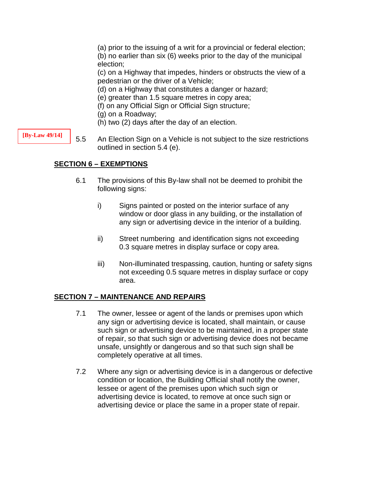(a) prior to the issuing of a writ for a provincial or federal election;

(b) no earlier than six (6) weeks prior to the day of the municipal election;

(c) on a Highway that impedes, hinders or obstructs the view of a pedestrian or the driver of a Vehicle;

- (d) on a Highway that constitutes a danger or hazard;
- (e) greater than 1.5 square metres in copy area;
- (f) on any Official Sign or Official Sign structure;
- (g) on a Roadway;
- (h) two (2) days after the day of an election.

5.5 An Election Sign on a Vehicle is not subject to the size restrictions outlined in section 5.4 (e).

## **SECTION 6 – EXEMPTIONS**

- 6.1 The provisions of this By-law shall not be deemed to prohibit the following signs:
	- i) Signs painted or posted on the interior surface of any window or door glass in any building, or the installation of any sign or advertising device in the interior of a building.
	- ii) Street numbering and identification signs not exceeding 0.3 square metres in display surface or copy area.
	- iii) Non-illuminated trespassing, caution, hunting or safety signs not exceeding 0.5 square metres in display surface or copy area.

## **SECTION 7 – MAINTENANCE AND REPAIRS**

- 7.1 The owner, lessee or agent of the lands or premises upon which any sign or advertising device is located, shall maintain, or cause such sign or advertising device to be maintained, in a proper state of repair, so that such sign or advertising device does not became unsafe, unsightly or dangerous and so that such sign shall be completely operative at all times.
- 7.2 Where any sign or advertising device is in a dangerous or defective condition or location, the Building Official shall notify the owner, lessee or agent of the premises upon which such sign or advertising device is located, to remove at once such sign or advertising device or place the same in a proper state of repair.

**[By-Law 49/14]**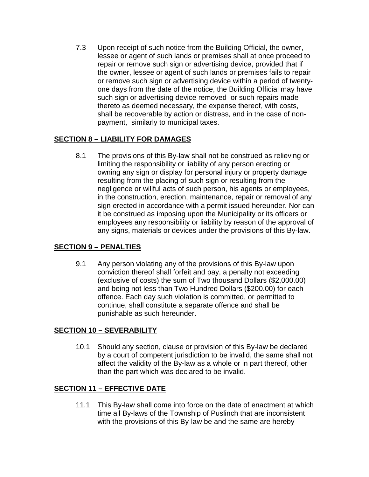7.3 Upon receipt of such notice from the Building Official, the owner, lessee or agent of such lands or premises shall at once proceed to repair or remove such sign or advertising device, provided that if the owner, lessee or agent of such lands or premises fails to repair or remove such sign or advertising device within a period of twentyone days from the date of the notice, the Building Official may have such sign or advertising device removed or such repairs made thereto as deemed necessary, the expense thereof, with costs, shall be recoverable by action or distress, and in the case of nonpayment, similarly to municipal taxes.

## **SECTION 8 – LIABILITY FOR DAMAGES**

8.1 The provisions of this By-law shall not be construed as relieving or limiting the responsibility or liability of any person erecting or owning any sign or display for personal injury or property damage resulting from the placing of such sign or resulting from the negligence or willful acts of such person, his agents or employees, in the construction, erection, maintenance, repair or removal of any sign erected in accordance with a permit issued hereunder. Nor can it be construed as imposing upon the Municipality or its officers or employees any responsibility or liability by reason of the approval of any signs, materials or devices under the provisions of this By-law.

## **SECTION 9 – PENALTIES**

9.1 Any person violating any of the provisions of this By-law upon conviction thereof shall forfeit and pay, a penalty not exceeding (exclusive of costs) the sum of Two thousand Dollars (\$2,000.00) and being not less than Two Hundred Dollars (\$200.00) for each offence. Each day such violation is committed, or permitted to continue, shall constitute a separate offence and shall be punishable as such hereunder.

## **SECTION 10 – SEVERABILITY**

10.1 Should any section, clause or provision of this By-law be declared by a court of competent jurisdiction to be invalid, the same shall not affect the validity of the By-law as a whole or in part thereof, other than the part which was declared to be invalid.

## **SECTION 11 – EFFECTIVE DATE**

11.1 This By-law shall come into force on the date of enactment at which time all By-laws of the Township of Puslinch that are inconsistent with the provisions of this By-law be and the same are hereby